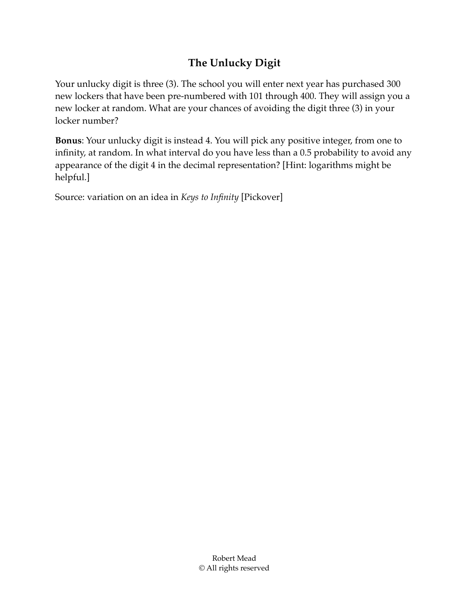## **The Unlucky Digit**

Your unlucky digit is three (3). The school you will enter next year has purchased 300 new lockers that have been pre-numbered with 101 through 400. They will assign you a new locker at random. What are your chances of avoiding the digit three (3) in your locker number?

**Bonus**: Your unlucky digit is instead 4. You will pick any positive integer, from one to infinity, at random. In what interval do you have less than a 0.5 probability to avoid any appearance of the digit 4 in the decimal representation? [Hint: logarithms might be helpful.]

Source: variation on an idea in *Keys to Infinity* [Pickover]